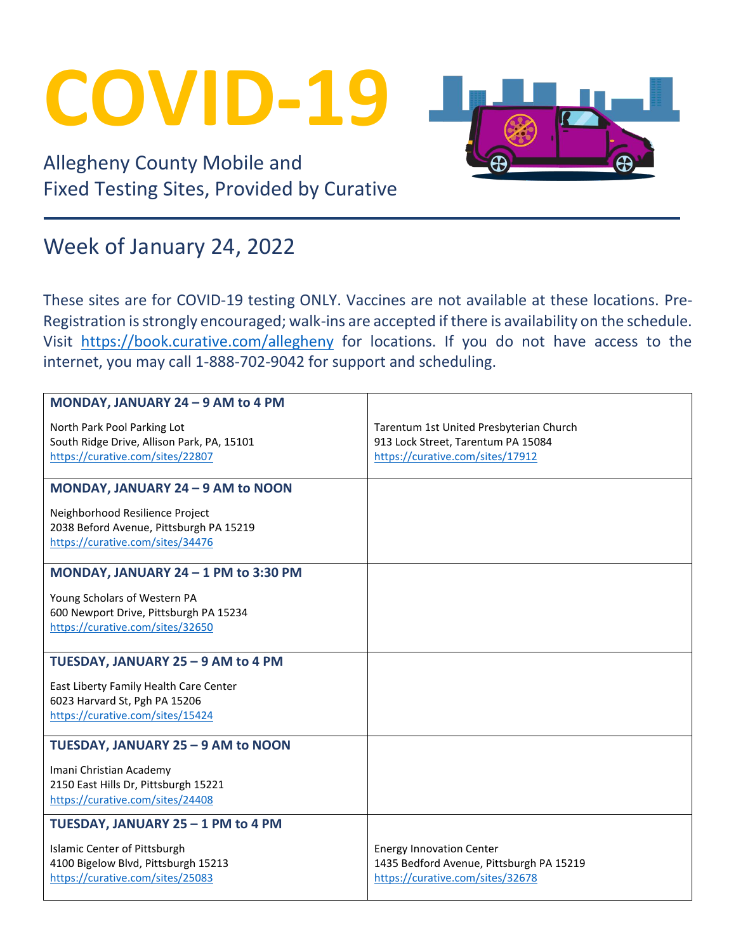## **COVID-19**

Allegheny County Mobile and Fixed Testing Sites, Provided by Curative

## Week of January 24, 2022

These sites are for COVID-19 testing ONLY. Vaccines are not available at these locations. Pre-Registration is strongly encouraged; walk-ins are accepted if there is availability on the schedule. Visit <https://book.curative.com/allegheny> for locations. If you do not have access to the internet, you may call 1-888-702-9042 for support and scheduling.

| MONDAY, JANUARY 24 - 9 AM to 4 PM          |                                          |
|--------------------------------------------|------------------------------------------|
|                                            |                                          |
| North Park Pool Parking Lot                | Tarentum 1st United Presbyterian Church  |
| South Ridge Drive, Allison Park, PA, 15101 | 913 Lock Street, Tarentum PA 15084       |
| https://curative.com/sites/22807           | https://curative.com/sites/17912         |
|                                            |                                          |
| MONDAY, JANUARY 24 - 9 AM to NOON          |                                          |
|                                            |                                          |
| Neighborhood Resilience Project            |                                          |
| 2038 Beford Avenue, Pittsburgh PA 15219    |                                          |
| https://curative.com/sites/34476           |                                          |
| MONDAY, JANUARY 24 - 1 PM to 3:30 PM       |                                          |
| Young Scholars of Western PA               |                                          |
| 600 Newport Drive, Pittsburgh PA 15234     |                                          |
| https://curative.com/sites/32650           |                                          |
|                                            |                                          |
| TUESDAY, JANUARY 25 - 9 AM to 4 PM         |                                          |
|                                            |                                          |
| East Liberty Family Health Care Center     |                                          |
| 6023 Harvard St, Pgh PA 15206              |                                          |
| https://curative.com/sites/15424           |                                          |
| TUESDAY, JANUARY 25 - 9 AM to NOON         |                                          |
| Imani Christian Academy                    |                                          |
| 2150 East Hills Dr, Pittsburgh 15221       |                                          |
| https://curative.com/sites/24408           |                                          |
|                                            |                                          |
| TUESDAY, JANUARY 25 - 1 PM to 4 PM         |                                          |
| Islamic Center of Pittsburgh               | <b>Energy Innovation Center</b>          |
| 4100 Bigelow Blvd, Pittsburgh 15213        | 1435 Bedford Avenue, Pittsburgh PA 15219 |
| https://curative.com/sites/25083           | https://curative.com/sites/32678         |
|                                            |                                          |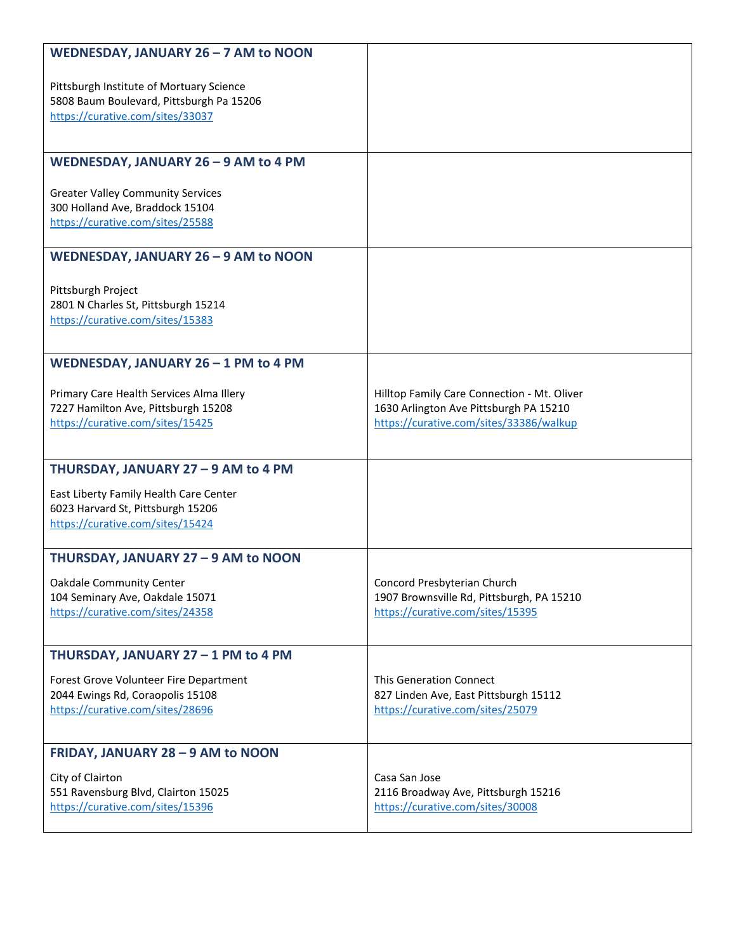| WEDNESDAY, JANUARY 26 - 7 AM to NOON                                |                                                                               |
|---------------------------------------------------------------------|-------------------------------------------------------------------------------|
| Pittsburgh Institute of Mortuary Science                            |                                                                               |
| 5808 Baum Boulevard, Pittsburgh Pa 15206                            |                                                                               |
| https://curative.com/sites/33037                                    |                                                                               |
|                                                                     |                                                                               |
| WEDNESDAY, JANUARY 26 - 9 AM to 4 PM                                |                                                                               |
| <b>Greater Valley Community Services</b>                            |                                                                               |
| 300 Holland Ave, Braddock 15104<br>https://curative.com/sites/25588 |                                                                               |
|                                                                     |                                                                               |
| WEDNESDAY, JANUARY 26 - 9 AM to NOON                                |                                                                               |
| Pittsburgh Project                                                  |                                                                               |
| 2801 N Charles St, Pittsburgh 15214                                 |                                                                               |
| https://curative.com/sites/15383                                    |                                                                               |
|                                                                     |                                                                               |
| WEDNESDAY, JANUARY 26 - 1 PM to 4 PM                                |                                                                               |
| Primary Care Health Services Alma Illery                            | Hilltop Family Care Connection - Mt. Oliver                                   |
| 7227 Hamilton Ave, Pittsburgh 15208                                 | 1630 Arlington Ave Pittsburgh PA 15210                                        |
| https://curative.com/sites/15425                                    | https://curative.com/sites/33386/walkup                                       |
|                                                                     |                                                                               |
| THURSDAY, JANUARY 27 - 9 AM to 4 PM                                 |                                                                               |
| East Liberty Family Health Care Center                              |                                                                               |
| 6023 Harvard St, Pittsburgh 15206                                   |                                                                               |
| https://curative.com/sites/15424                                    |                                                                               |
| THURSDAY, JANUARY 27 - 9 AM to NOON                                 |                                                                               |
| <b>Oakdale Community Center</b>                                     | Concord Presbyterian Church                                                   |
| 104 Seminary Ave, Oakdale 15071<br>https://curative.com/sites/24358 | 1907 Brownsville Rd, Pittsburgh, PA 15210<br>https://curative.com/sites/15395 |
|                                                                     |                                                                               |
| THURSDAY, JANUARY 27 - 1 PM to 4 PM                                 |                                                                               |
| Forest Grove Volunteer Fire Department                              | <b>This Generation Connect</b>                                                |
| 2044 Ewings Rd, Coraopolis 15108                                    | 827 Linden Ave, East Pittsburgh 15112                                         |
| https://curative.com/sites/28696                                    | https://curative.com/sites/25079                                              |
| FRIDAY, JANUARY 28 - 9 AM to NOON                                   |                                                                               |
| City of Clairton                                                    | Casa San Jose                                                                 |
| 551 Ravensburg Blvd, Clairton 15025                                 | 2116 Broadway Ave, Pittsburgh 15216                                           |
| https://curative.com/sites/15396                                    | https://curative.com/sites/30008                                              |
|                                                                     |                                                                               |